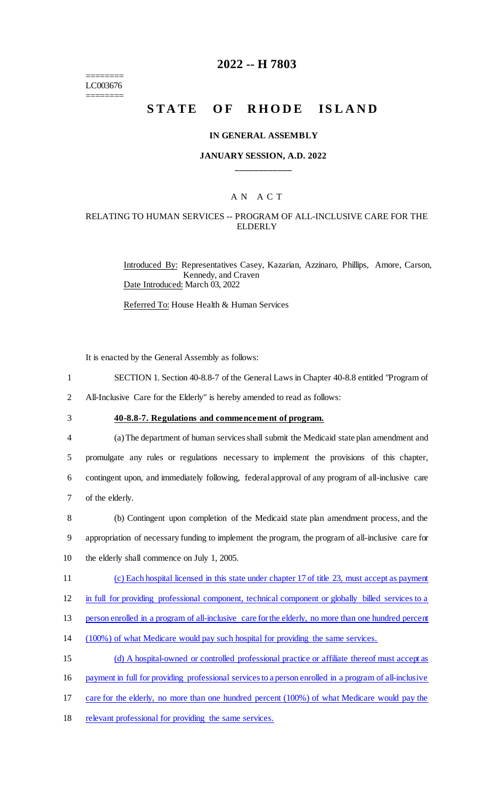======== LC003676 ========

### **2022 -- H 7803**

# **STATE OF RHODE ISLAND**

#### **IN GENERAL ASSEMBLY**

### **JANUARY SESSION, A.D. 2022 \_\_\_\_\_\_\_\_\_\_\_\_**

### A N A C T

### RELATING TO HUMAN SERVICES -- PROGRAM OF ALL-INCLUSIVE CARE FOR THE **ELDERLY**

Introduced By: Representatives Casey, Kazarian, Azzinaro, Phillips, Amore, Carson, Kennedy, and Craven Date Introduced: March 03, 2022

Referred To: House Health & Human Services

It is enacted by the General Assembly as follows:

- 1 SECTION 1. Section 40-8.8-7 of the General Laws in Chapter 40-8.8 entitled "Program of
- 2 All-Inclusive Care for the Elderly" is hereby amended to read as follows:
- 

## 3 **40-8.8-7. Regulations and commencement of program.**

 (a) The department of human services shall submit the Medicaid state plan amendment and promulgate any rules or regulations necessary to implement the provisions of this chapter, contingent upon, and immediately following, federal approval of any program of all-inclusive care of the elderly.

8 (b) Contingent upon completion of the Medicaid state plan amendment process, and the 9 appropriation of necessary funding to implement the program, the program of all-inclusive care for 10 the elderly shall commence on July 1, 2005.

- 11 (c) Each hospital licensed in this state under chapter 17 of title 23, must accept as payment
- 12 in full for providing professional component, technical component or globally billed services to a
- 13 person enrolled in a program of all-inclusive care for the elderly, no more than one hundred percent
- 14 (100%) of what Medicare would pay such hospital for providing the same services.
- 15 (d) A hospital-owned or controlled professional practice or affiliate thereof must accept as
- 16 payment in full for providing professional services to a person enrolled in a program of all-inclusive
- 17 care for the elderly, no more than one hundred percent (100%) of what Medicare would pay the
- 18 relevant professional for providing the same services.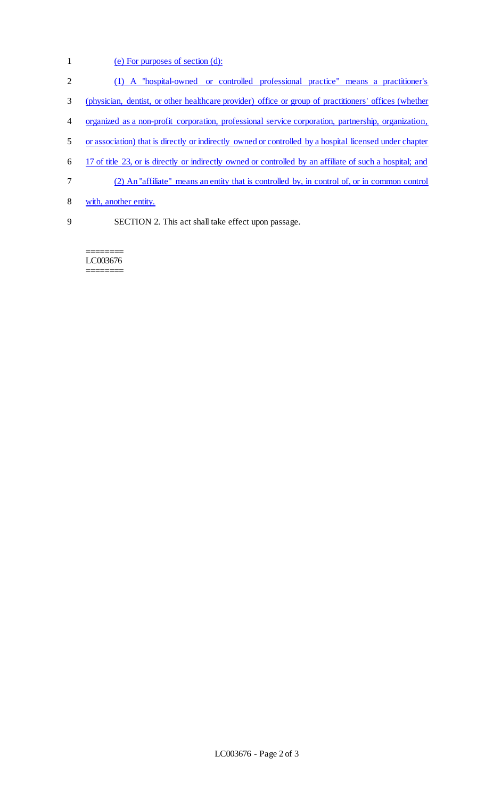- (e) For purposes of section (d):
- (1) A "hospital-owned or controlled professional practice" means a practitioner's
- (physician, dentist, or other healthcare provider) office or group of practitioners' offices (whether
- organized as a non-profit corporation, professional service corporation, partnership, organization,
- or association) that is directly or indirectly owned or controlled by a hospital licensed under chapter
- 17 of title 23, or is directly or indirectly owned or controlled by an affiliate of such a hospital; and
- (2) An "affiliate" means an entity that is controlled by, in control of, or in common control
- with, another entity.
- 

SECTION 2. This act shall take effect upon passage.

======== LC003676 ========